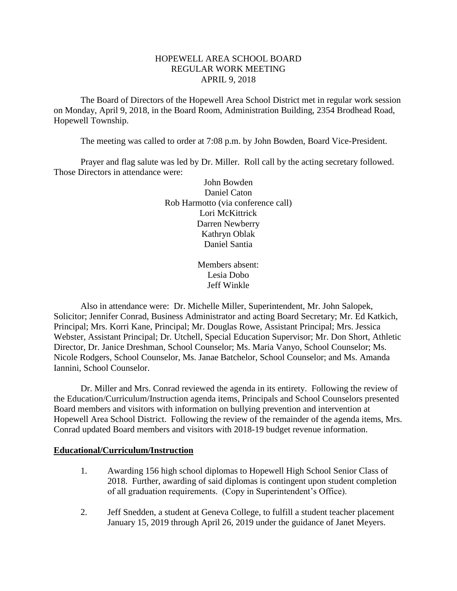### HOPEWELL AREA SCHOOL BOARD REGULAR WORK MEETING APRIL 9, 2018

The Board of Directors of the Hopewell Area School District met in regular work session on Monday, April 9, 2018, in the Board Room, Administration Building, 2354 Brodhead Road, Hopewell Township.

The meeting was called to order at 7:08 p.m. by John Bowden, Board Vice-President.

Prayer and flag salute was led by Dr. Miller. Roll call by the acting secretary followed. Those Directors in attendance were:

> John Bowden Daniel Caton Rob Harmotto (via conference call) Lori McKittrick Darren Newberry Kathryn Oblak Daniel Santia

> > Members absent: Lesia Dobo Jeff Winkle

Also in attendance were: Dr. Michelle Miller, Superintendent, Mr. John Salopek, Solicitor; Jennifer Conrad, Business Administrator and acting Board Secretary; Mr. Ed Katkich, Principal; Mrs. Korri Kane, Principal; Mr. Douglas Rowe, Assistant Principal; Mrs. Jessica Webster, Assistant Principal; Dr. Utchell, Special Education Supervisor; Mr. Don Short, Athletic Director, Dr. Janice Dreshman, School Counselor; Ms. Maria Vanyo, School Counselor; Ms. Nicole Rodgers, School Counselor, Ms. Janae Batchelor, School Counselor; and Ms. Amanda Iannini, School Counselor.

Dr. Miller and Mrs. Conrad reviewed the agenda in its entirety. Following the review of the Education/Curriculum/Instruction agenda items, Principals and School Counselors presented Board members and visitors with information on bullying prevention and intervention at Hopewell Area School District. Following the review of the remainder of the agenda items, Mrs. Conrad updated Board members and visitors with 2018-19 budget revenue information.

#### **Educational/Curriculum/Instruction**

- 1. Awarding 156 high school diplomas to Hopewell High School Senior Class of 2018. Further, awarding of said diplomas is contingent upon student completion of all graduation requirements. (Copy in Superintendent's Office).
- 2. Jeff Snedden, a student at Geneva College, to fulfill a student teacher placement January 15, 2019 through April 26, 2019 under the guidance of Janet Meyers.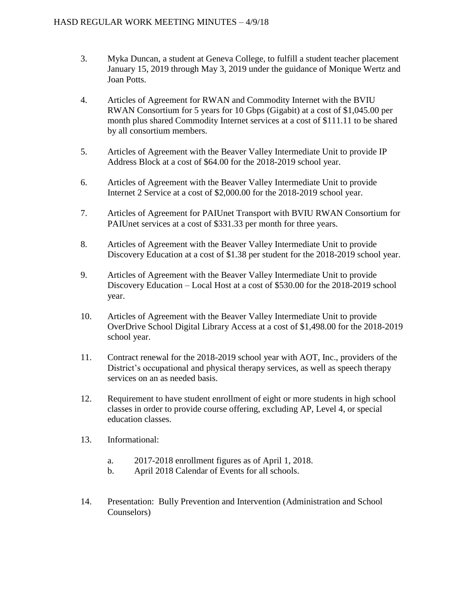- 3. Myka Duncan, a student at Geneva College, to fulfill a student teacher placement January 15, 2019 through May 3, 2019 under the guidance of Monique Wertz and Joan Potts.
- 4. Articles of Agreement for RWAN and Commodity Internet with the BVIU RWAN Consortium for 5 years for 10 Gbps (Gigabit) at a cost of \$1,045.00 per month plus shared Commodity Internet services at a cost of \$111.11 to be shared by all consortium members.
- 5. Articles of Agreement with the Beaver Valley Intermediate Unit to provide IP Address Block at a cost of \$64.00 for the 2018-2019 school year.
- 6. Articles of Agreement with the Beaver Valley Intermediate Unit to provide Internet 2 Service at a cost of \$2,000.00 for the 2018-2019 school year.
- 7. Articles of Agreement for PAIUnet Transport with BVIU RWAN Consortium for PAIUnet services at a cost of \$331.33 per month for three years.
- 8. Articles of Agreement with the Beaver Valley Intermediate Unit to provide Discovery Education at a cost of \$1.38 per student for the 2018-2019 school year.
- 9. Articles of Agreement with the Beaver Valley Intermediate Unit to provide Discovery Education – Local Host at a cost of \$530.00 for the 2018-2019 school year.
- 10. Articles of Agreement with the Beaver Valley Intermediate Unit to provide OverDrive School Digital Library Access at a cost of \$1,498.00 for the 2018-2019 school year.
- 11. Contract renewal for the 2018-2019 school year with AOT, Inc., providers of the District's occupational and physical therapy services, as well as speech therapy services on an as needed basis.
- 12. Requirement to have student enrollment of eight or more students in high school classes in order to provide course offering, excluding AP, Level 4, or special education classes.
- 13. Informational:
	- a. 2017-2018 enrollment figures as of April 1, 2018.
	- b. April 2018 Calendar of Events for all schools.
- 14. Presentation: Bully Prevention and Intervention (Administration and School Counselors)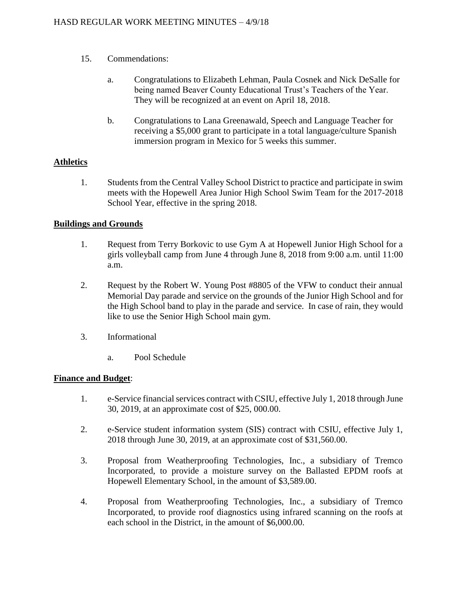- 15. Commendations:
	- a. Congratulations to Elizabeth Lehman, Paula Cosnek and Nick DeSalle for being named Beaver County Educational Trust's Teachers of the Year. They will be recognized at an event on April 18, 2018.
	- b. Congratulations to Lana Greenawald, Speech and Language Teacher for receiving a \$5,000 grant to participate in a total language/culture Spanish immersion program in Mexico for 5 weeks this summer.

# **Athletics**

1. Students from the Central Valley School District to practice and participate in swim meets with the Hopewell Area Junior High School Swim Team for the 2017-2018 School Year, effective in the spring 2018.

# **Buildings and Grounds**

- 1. Request from Terry Borkovic to use Gym A at Hopewell Junior High School for a girls volleyball camp from June 4 through June 8, 2018 from 9:00 a.m. until 11:00 a.m.
- 2. Request by the Robert W. Young Post #8805 of the VFW to conduct their annual Memorial Day parade and service on the grounds of the Junior High School and for the High School band to play in the parade and service. In case of rain, they would like to use the Senior High School main gym.
- 3. Informational
	- a. Pool Schedule

### **Finance and Budget**:

- 1. e-Service financial services contract with CSIU, effective July 1, 2018 through June 30, 2019, at an approximate cost of \$25, 000.00.
- 2. e-Service student information system (SIS) contract with CSIU, effective July 1, 2018 through June 30, 2019, at an approximate cost of \$31,560.00.
- 3. Proposal from Weatherproofing Technologies, Inc., a subsidiary of Tremco Incorporated, to provide a moisture survey on the Ballasted EPDM roofs at Hopewell Elementary School, in the amount of \$3,589.00.
- 4. Proposal from Weatherproofing Technologies, Inc., a subsidiary of Tremco Incorporated, to provide roof diagnostics using infrared scanning on the roofs at each school in the District, in the amount of \$6,000.00.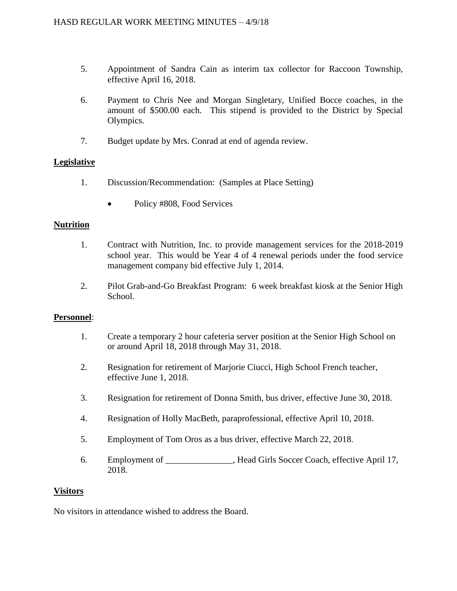- 5. Appointment of Sandra Cain as interim tax collector for Raccoon Township, effective April 16, 2018.
- 6. Payment to Chris Nee and Morgan Singletary, Unified Bocce coaches, in the amount of \$500.00 each. This stipend is provided to the District by Special Olympics.
- 7. Budget update by Mrs. Conrad at end of agenda review.

# **Legislative**

- 1. Discussion/Recommendation: (Samples at Place Setting)
	- Policy #808, Food Services

### **Nutrition**

- 1. Contract with Nutrition, Inc. to provide management services for the 2018-2019 school year. This would be Year 4 of 4 renewal periods under the food service management company bid effective July 1, 2014.
- 2. Pilot Grab-and-Go Breakfast Program: 6 week breakfast kiosk at the Senior High School.

### **Personnel**:

- 1. Create a temporary 2 hour cafeteria server position at the Senior High School on or around April 18, 2018 through May 31, 2018.
- 2. Resignation for retirement of Marjorie Ciucci, High School French teacher, effective June 1, 2018.
- 3. Resignation for retirement of Donna Smith, bus driver, effective June 30, 2018.
- 4. Resignation of Holly MacBeth, paraprofessional, effective April 10, 2018.
- 5. Employment of Tom Oros as a bus driver, effective March 22, 2018.
- 6. Employment of Figure 1. Head Girls Soccer Coach, effective April 17, 2018.

### **Visitors**

No visitors in attendance wished to address the Board.